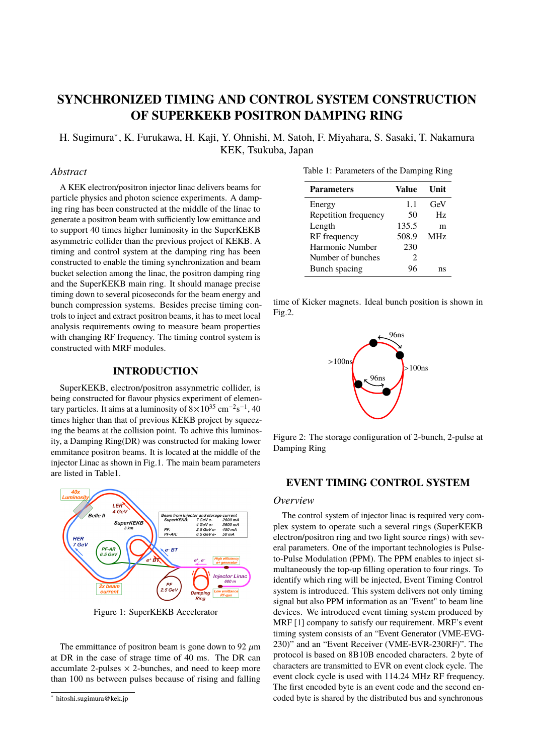# **SYNCHRONIZED TIMING AND CONTROL SYSTEM CONSTRUCTION OF SUPERKEKB POSITRON DAMPING RING**

H. Sugimura<sup>∗</sup> , K. Furukawa, H. Kaji, Y. Ohnishi, M. Satoh, F. Miyahara, S. Sasaki, T. Nakamura KEK, Tsukuba, Japan

# *Abstract*

A KEK electron/positron injector linac delivers beams for particle physics and photon science experiments. A damping ring has been constructed at the middle of the linac to generate a positron beam with sufficiently low emittance and to support 40 times higher luminosity in the SuperKEKB asymmetric collider than the previous project of KEKB. A timing and control system at the damping ring has been constructed to enable the timing synchronization and beam bucket selection among the linac, the positron damping ring and the SuperKEKB main ring. It should manage precise timing down to several picoseconds for the beam energy and bunch compression systems. Besides precise timing controls to inject and extract positron beams, it has to meet local analysis requirements owing to measure beam properties with changing RF frequency. The timing control system is constructed with MRF modules.

# **INTRODUCTION**

SuperKEKB, electron/positron assynmetric collider, is being constructed for flavour physics experiment of elementary particles. It aims at a luminosity of  $8\times10^{35}$  cm $^{-2}$ s $^{-1}$ , 40 times higher than that of previous KEKB project by squeezing the beams at the collision point. To achive this luminosity, a Damping Ring(DR) was constructed for making lower emmitance positron beams. It is located at the middle of the injector Linac as shown in Fig.1. The main beam parameters are listed in Table1.



Figure 1: SuperKEKB Accelerator

The emmittance of positron beam is gone down to 92  $\mu$ m at DR in the case of strage time of 40 ms. The DR can accumlate 2-pulses  $\times$  2-bunches, and need to keep more than 100 ns between pulses because of rising and falling

|  | Table 1: Parameters of the Damping Ring |  |  |  |  |
|--|-----------------------------------------|--|--|--|--|
|--|-----------------------------------------|--|--|--|--|

| <b>Parameters</b>    | Value                       | Unit       |
|----------------------|-----------------------------|------------|
| Energy               | 1.1                         | GeV        |
| Repetition frequency | 50                          | Hz         |
| Length               | 135.5                       | m          |
| RF frequency         | 508.9                       | <b>MHz</b> |
| Harmonic Number      | 230                         |            |
| Number of bunches    | $\mathcal{D}_{\mathcal{A}}$ |            |
| Bunch spacing        | ነራ                          | ns         |

time of Kicker magnets. Ideal bunch position is shown in Fig.2.



Figure 2: The storage configuration of 2-bunch, 2-pulse at Damping Ring

## **EVENT TIMING CONTROL SYSTEM**

#### *Overview*

The control system of injector linac is required very complex system to operate such a several rings (SuperKEKB electron/positron ring and two light source rings) with several parameters. One of the important technologies is Pulseto-Pulse Modulation (PPM). The PPM enables to inject simultaneously the top-up filling operation to four rings. To identify which ring will be injected, Event Timing Control system is introduced. This system delivers not only timing signal but also PPM information as an "Event" to beam line devices. We introduced event timing system produced by MRF [1] company to satisfy our requirement. MRF's event timing system consists of an "Event Generator (VME-EVG-230)" and an "Event Receiver (VME-EVR-230RF)". The protocol is based on 8B10B encoded characters. 2 byte of characters are transmitted to EVR on event clock cycle. The event clock cycle is used with 114.24 MHz RF frequency. The first encoded byte is an event code and the second encoded byte is shared by the distributed bus and synchronous

<sup>∗</sup> hitoshi.sugimura@kek.jp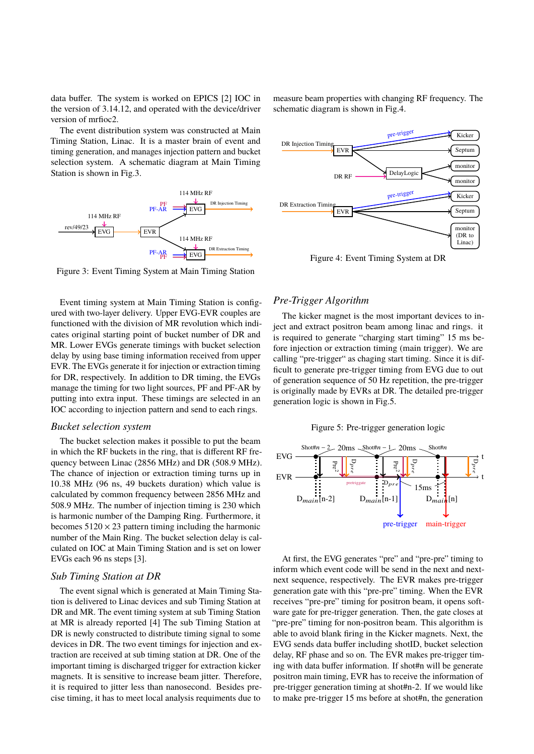data buffer. The system is worked on EPICS [2] IOC in the version of 3.14.12, and operated with the device/driver version of mrfioc2.

The event distribution system was constructed at Main Timing Station, Linac. It is a master brain of event and timing generation, and manages injection pattern and bucket selection system. A schematic diagram at Main Timing Station is shown in Fig.3.



Figure 3: Event Timing System at Main Timing Station

Event timing system at Main Timing Station is configured with two-layer delivery. Upper EVG-EVR couples are functioned with the division of MR revolution which indicates original starting point of bucket number of DR and MR. Lower EVGs generate timings with bucket selection delay by using base timing information received from upper EVR. The EVGs generate it for injection or extraction timing for DR, respectively. In addition to DR timing, the EVGs manage the timing for two light sources, PF and PF-AR by putting into extra input. These timings are selected in an IOC according to injection pattern and send to each rings.

## *Bucket selection system*

The bucket selection makes it possible to put the beam in which the RF buckets in the ring, that is different RF frequency between Linac (2856 MHz) and DR (508.9 MHz). The chance of injection or extraction timing turns up in 10.38 MHz (96 ns, 49 buckets duration) which value is calculated by common frequency between 2856 MHz and 508.9 MHz. The number of injection timing is 230 which is harmonic number of the Damping Ring. Furthermore, it becomes  $5120 \times 23$  pattern timing including the harmonic number of the Main Ring. The bucket selection delay is calculated on IOC at Main Timing Station and is set on lower EVGs each 96 ns steps [3].

### *Sub Timing Station at DR*

The event signal which is generated at Main Timing Station is delivered to Linac devices and sub Timing Station at DR and MR. The event timing system at sub Timing Station at MR is already reported [4] The sub Timing Station at DR is newly constructed to distribute timing signal to some devices in DR. The two event timings for injection and extraction are received at sub timing station at DR. One of the important timing is discharged trigger for extraction kicker magnets. It is sensitive to increase beam jitter. Therefore, it is required to jitter less than nanosecond. Besides precise timing, it has to meet local analysis requiments due to measure beam properties with changing RF frequency. The schematic diagram is shown in Fig.4.



Figure 4: Event Timing System at DR

## *Pre-Trigger Algorithm*

The kicker magnet is the most important devices to inject and extract positron beam among linac and rings. it is required to generate "charging start timing" 15 ms before injection or extraction timing (main trigger). We are calling "pre-trigger" as chaging start timing. Since it is difficult to generate pre-trigger timing from EVG due to out of generation sequence of 50 Hz repetition, the pre-trigger is originally made by EVRs at DR. The detailed pre-trigger generation logic is shown in Fig.5.

Figure 5: Pre-trigger generation logic



At first, the EVG generates "pre" and "pre-pre" timing to inform which event code will be send in the next and nextnext sequence, respectively. The EVR makes pre-trigger generation gate with this "pre-pre" timing. When the EVR receives "pre-pre" timing for positron beam, it opens software gate for pre-trigger generation. Then, the gate closes at "pre-pre" timing for non-positron beam. This algorithm is able to avoid blank firing in the Kicker magnets. Next, the EVG sends data buffer including shotID, bucket selection delay, RF phase and so on. The EVR makes pre-trigger timing with data buffer information. If shot#n will be generate positron main timing, EVR has to receive the information of pre-trigger generation timing at shot#n-2. If we would like to make pre-trigger 15 ms before at shot#n, the generation